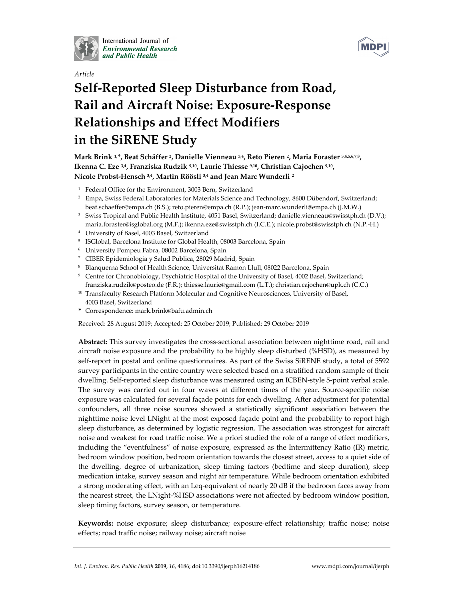

*Article* 

International Journal of **Environmental Research** and Public Health



# **Self-Reported Sleep Disturbance from Road, Rail and Aircraft Noise: Exposure-Response Relationships and Effect Modifiers in the SiRENE Study**

**Mark Brink 1,\*, Beat Schäffer 2, Danielle Vienneau 3,4, Reto Pieren 2, Maria Foraster 3,4,5,6,7,8, Ikenna C. Eze 3,4, Franziska Rudzik 9,10, Laurie Thiesse 9,10, Christian Cajochen 9,10, Nicole Probst-Hensch 3,4, Martin Röösli 3,4 and Jean Marc Wunderli 2**

- <sup>1</sup> Federal Office for the Environment, 3003 Bern, Switzerland
- <sup>2</sup> Empa, Swiss Federal Laboratories for Materials Science and Technology, 8600 Dübendorf, Switzerland; beat.schaeffer@empa.ch (B.S.); reto.pieren@empa.ch (R.P.); jean-marc.wunderli@empa.ch (J.M.W.)
- <sup>3</sup> Swiss Tropical and Public Health Institute, 4051 Basel, Switzerland; danielle.vienneau@swisstph.ch (D.V.); maria.foraster@isglobal.org (M.F.); ikenna.eze@swisstph.ch (I.C.E.); nicole.probst@swisstph.ch (N.P.-H.)
- 4 University of Basel, 4003 Basel, Switzerland
- 5 ISGlobal, Barcelona Institute for Global Health, 08003 Barcelona, Spain
- 6 University Pompeu Fabra, 08002 Barcelona, Spain
- 7 CIBER Epidemiologia y Salud Publica, 28029 Madrid, Spain
- 8 Blanquerna School of Health Science, Universitat Ramon Llull, 08022 Barcelona, Spain
- 9 Centre for Chronobiology, Psychiatric Hospital of the University of Basel, 4002 Basel, Switzerland; franziska.rudzik@posteo.de (F.R.); thiesse.laurie@gmail.com (L.T.); christian.cajochen@upk.ch (C.C.)
- <sup>10</sup> Transfaculty Research Platform Molecular and Cognitive Neurosciences, University of Basel, 4003 Basel, Switzerland
- **\*** Correspondence: mark.brink@bafu.admin.ch

Received: 28 August 2019; Accepted: 25 October 2019; Published: 29 October 2019

**Abstract:** This survey investigates the cross-sectional association between nighttime road, rail and aircraft noise exposure and the probability to be highly sleep disturbed (%HSD), as measured by self-report in postal and online questionnaires. As part of the Swiss SiRENE study, a total of 5592 survey participants in the entire country were selected based on a stratified random sample of their dwelling. Self-reported sleep disturbance was measured using an ICBEN-style 5-point verbal scale. The survey was carried out in four waves at different times of the year. Source-specific noise exposure was calculated for several façade points for each dwelling. After adjustment for potential confounders, all three noise sources showed a statistically significant association between the nighttime noise level LNight at the most exposed façade point and the probability to report high sleep disturbance, as determined by logistic regression. The association was strongest for aircraft noise and weakest for road traffic noise. We a priori studied the role of a range of effect modifiers, including the "eventfulness" of noise exposure, expressed as the Intermittency Ratio (IR) metric, bedroom window position, bedroom orientation towards the closest street, access to a quiet side of the dwelling, degree of urbanization, sleep timing factors (bedtime and sleep duration), sleep medication intake, survey season and night air temperature. While bedroom orientation exhibited a strong moderating effect, with an Leq-equivalent of nearly 20 dB if the bedroom faces away from the nearest street, the LNight-%HSD associations were not affected by bedroom window position, sleep timing factors, survey season, or temperature.

**Keywords:** noise exposure; sleep disturbance; exposure-effect relationship; traffic noise; noise effects; road traffic noise; railway noise; aircraft noise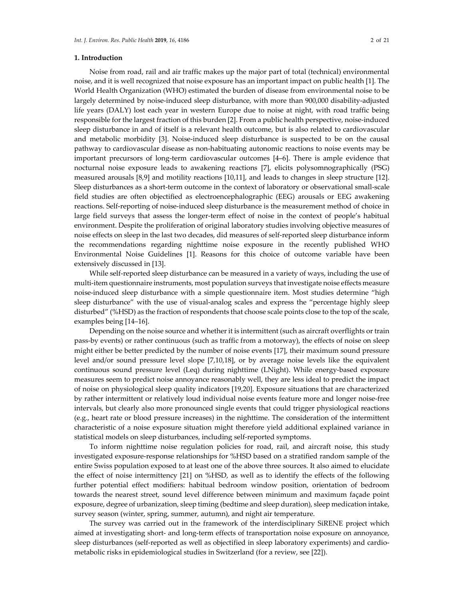Noise from road, rail and air traffic makes up the major part of total (technical) environmental noise, and it is well recognized that noise exposure has an important impact on public health [1]. The World Health Organization (WHO) estimated the burden of disease from environmental noise to be largely determined by noise-induced sleep disturbance, with more than 900,000 disability-adjusted life years (DALY) lost each year in western Europe due to noise at night, with road traffic being responsible for the largest fraction of this burden [2]. From a public health perspective, noise-induced sleep disturbance in and of itself is a relevant health outcome, but is also related to cardiovascular and metabolic morbidity [3]. Noise-induced sleep disturbance is suspected to be on the causal pathway to cardiovascular disease as non-habituating autonomic reactions to noise events may be important precursors of long-term cardiovascular outcomes [4–6]. There is ample evidence that nocturnal noise exposure leads to awakening reactions [7], elicits polysomnographically (PSG) measured arousals [8,9] and motility reactions [10,11], and leads to changes in sleep structure [12]. Sleep disturbances as a short-term outcome in the context of laboratory or observational small-scale field studies are often objectified as electroencephalographic (EEG) arousals or EEG awakening reactions. Self-reporting of noise-induced sleep disturbance is the measurement method of choice in large field surveys that assess the longer-term effect of noise in the context of people's habitual environment. Despite the proliferation of original laboratory studies involving objective measures of noise effects on sleep in the last two decades, did measures of self-reported sleep disturbance inform the recommendations regarding nighttime noise exposure in the recently published WHO Environmental Noise Guidelines [1]. Reasons for this choice of outcome variable have been extensively discussed in [13].

While self-reported sleep disturbance can be measured in a variety of ways, including the use of multi-item questionnaire instruments, most population surveys that investigate noise effects measure noise-induced sleep disturbance with a simple questionnaire item. Most studies determine "high sleep disturbance" with the use of visual-analog scales and express the "percentage highly sleep disturbed" (%HSD) as the fraction of respondents that choose scale points close to the top of the scale, examples being [14–16].

Depending on the noise source and whether it is intermittent (such as aircraft overflights or train pass-by events) or rather continuous (such as traffic from a motorway), the effects of noise on sleep might either be better predicted by the number of noise events [17], their maximum sound pressure level and/or sound pressure level slope [7,10,18], or by average noise levels like the equivalent continuous sound pressure level (Leq) during nighttime (LNight). While energy-based exposure measures seem to predict noise annoyance reasonably well, they are less ideal to predict the impact of noise on physiological sleep quality indicators [19,20]. Exposure situations that are characterized by rather intermittent or relatively loud individual noise events feature more and longer noise-free intervals, but clearly also more pronounced single events that could trigger physiological reactions (e.g., heart rate or blood pressure increases) in the nighttime. The consideration of the intermittent characteristic of a noise exposure situation might therefore yield additional explained variance in statistical models on sleep disturbances, including self-reported symptoms.

To inform nighttime noise regulation policies for road, rail, and aircraft noise, this study investigated exposure-response relationships for %HSD based on a stratified random sample of the entire Swiss population exposed to at least one of the above three sources. It also aimed to elucidate the effect of noise intermittency [21] on %HSD, as well as to identify the effects of the following further potential effect modifiers: habitual bedroom window position, orientation of bedroom towards the nearest street, sound level difference between minimum and maximum façade point exposure, degree of urbanization, sleep timing (bedtime and sleep duration), sleep medication intake, survey season (winter, spring, summer, autumn), and night air temperature.

The survey was carried out in the framework of the interdisciplinary SiRENE project which aimed at investigating short- and long-term effects of transportation noise exposure on annoyance, sleep disturbances (self-reported as well as objectified in sleep laboratory experiments) and cardiometabolic risks in epidemiological studies in Switzerland (for a review, see [22]).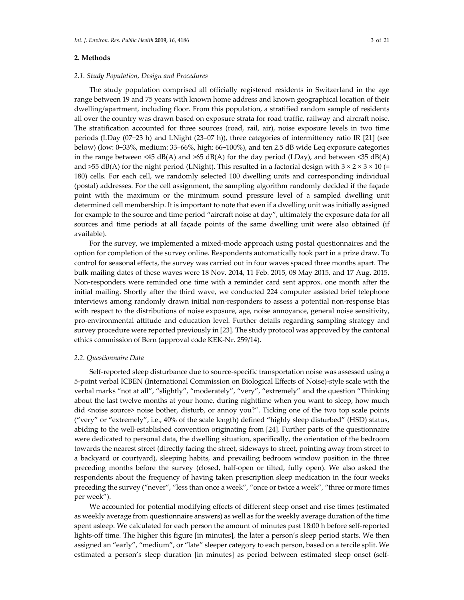## **2. Methods**

The study population comprised all officially registered residents in Switzerland in the age range between 19 and 75 years with known home address and known geographical location of their dwelling/apartment, including floor. From this population, a stratified random sample of residents all over the country was drawn based on exposure strata for road traffic, railway and aircraft noise. The stratification accounted for three sources (road, rail, air), noise exposure levels in two time periods (LDay (07−23 h) and LNight (23–07 h)), three categories of intermittency ratio IR [21] (see below) (low: 0−33%, medium: 33–66%, high: 66−100%), and ten 2.5 dB wide Leq exposure categories in the range between <45 dB(A) and >65 dB(A) for the day period (LDay), and between <35 dB(A) and >55 dB(A) for the night period (LNight). This resulted in a factorial design with  $3 \times 2 \times 3 \times 10$  (= 180) cells. For each cell, we randomly selected 100 dwelling units and corresponding individual (postal) addresses. For the cell assignment, the sampling algorithm randomly decided if the façade point with the maximum or the minimum sound pressure level of a sampled dwelling unit determined cell membership. It is important to note that even if a dwelling unit was initially assigned for example to the source and time period "aircraft noise at day", ultimately the exposure data for all sources and time periods at all façade points of the same dwelling unit were also obtained (if available).

For the survey, we implemented a mixed-mode approach using postal questionnaires and the option for completion of the survey online. Respondents automatically took part in a prize draw. To control for seasonal effects, the survey was carried out in four waves spaced three months apart. The bulk mailing dates of these waves were 18 Nov. 2014, 11 Feb. 2015, 08 May 2015, and 17 Aug. 2015. Non-responders were reminded one time with a reminder card sent approx. one month after the initial mailing. Shortly after the third wave, we conducted 224 computer assisted brief telephone interviews among randomly drawn initial non-responders to assess a potential non-response bias with respect to the distributions of noise exposure, age, noise annoyance, general noise sensitivity, pro-environmental attitude and education level. Further details regarding sampling strategy and survey procedure were reported previously in [23]. The study protocol was approved by the cantonal ethics commission of Bern (approval code KEK-Nr. 259/14).

## *2.2. Questionnaire Data*

Self-reported sleep disturbance due to source-specific transportation noise was assessed using a 5-point verbal ICBEN (International Commission on Biological Effects of Noise)-style scale with the verbal marks "not at all", "slightly", "moderately", "very", "extremely" and the question "Thinking about the last twelve months at your home, during nighttime when you want to sleep, how much did <noise source> noise bother, disturb, or annoy you?". Ticking one of the two top scale points ("very" or "extremely", i.e., 40% of the scale length) defined "highly sleep disturbed" (HSD) status, abiding to the well-established convention originating from [24]. Further parts of the questionnaire were dedicated to personal data, the dwelling situation, specifically, the orientation of the bedroom towards the nearest street (directly facing the street, sideways to street, pointing away from street to a backyard or courtyard), sleeping habits, and prevailing bedroom window position in the three preceding months before the survey (closed, half-open or tilted, fully open). We also asked the respondents about the frequency of having taken prescription sleep medication in the four weeks preceding the survey ("never", "less than once a week", "once or twice a week", "three or more times per week").

We accounted for potential modifying effects of different sleep onset and rise times (estimated as weekly average from questionnaire answers) as well as for the weekly average duration of the time spent asleep. We calculated for each person the amount of minutes past 18:00 h before self-reported lights-off time. The higher this figure [in minutes], the later a person's sleep period starts. We then assigned an "early", "medium", or "late" sleeper category to each person, based on a tercile split. We estimated a person's sleep duration [in minutes] as period between estimated sleep onset (self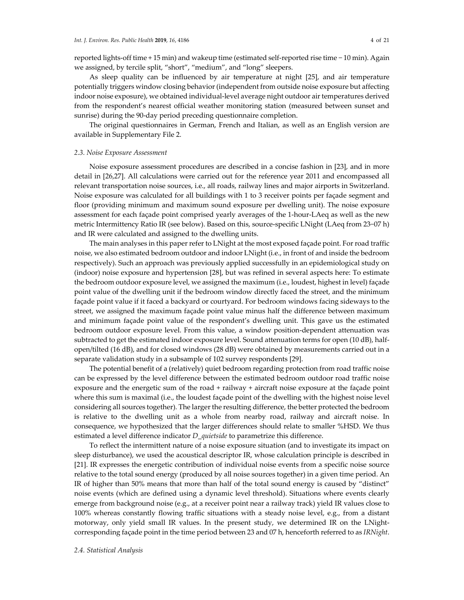reported lights-off time + 15 min) and wakeup time (estimated self-reported rise time − 10 min). Again we assigned, by tercile split, "short", "medium", and "long" sleepers.

As sleep quality can be influenced by air temperature at night [25], and air temperature potentially triggers window closing behavior (independent from outside noise exposure but affecting indoor noise exposure), we obtained individual-level average night outdoor air temperatures derived from the respondent's nearest official weather monitoring station (measured between sunset and sunrise) during the 90-day period preceding questionnaire completion.

The original questionnaires in German, French and Italian, as well as an English version are available in Supplementary File 2.

#### *2.3. Noise Exposure Assessment*

Noise exposure assessment procedures are described in a concise fashion in [23], and in more detail in [26,27]. All calculations were carried out for the reference year 2011 and encompassed all relevant transportation noise sources, i.e., all roads, railway lines and major airports in Switzerland. Noise exposure was calculated for all buildings with 1 to 3 receiver points per façade segment and floor (providing minimum and maximum sound exposure per dwelling unit). The noise exposure assessment for each façade point comprised yearly averages of the 1-hour-LAeq as well as the new metric Intermittency Ratio IR (see below). Based on this, source-specific LNight (LAeq from 23−07 h) and IR were calculated and assigned to the dwelling units.

The main analyses in this paper refer to LNight at the most exposed façade point. For road traffic noise, we also estimated bedroom outdoor and indoor LNight (i.e., in front of and inside the bedroom respectively). Such an approach was previously applied successfully in an epidemiological study on (indoor) noise exposure and hypertension [28], but was refined in several aspects here: To estimate the bedroom outdoor exposure level, we assigned the maximum (i.e., loudest, highest in level) façade point value of the dwelling unit if the bedroom window directly faced the street, and the minimum façade point value if it faced a backyard or courtyard. For bedroom windows facing sideways to the street, we assigned the maximum façade point value minus half the difference between maximum and minimum façade point value of the respondent's dwelling unit. This gave us the estimated bedroom outdoor exposure level. From this value, a window position-dependent attenuation was subtracted to get the estimated indoor exposure level. Sound attenuation terms for open (10 dB), halfopen/tilted (16 dB), and for closed windows (28 dB) were obtained by measurements carried out in a separate validation study in a subsample of 102 survey respondents [29].

The potential benefit of a (relatively) quiet bedroom regarding protection from road traffic noise can be expressed by the level difference between the estimated bedroom outdoor road traffic noise exposure and the energetic sum of the road + railway + aircraft noise exposure at the façade point where this sum is maximal (i.e., the loudest façade point of the dwelling with the highest noise level considering all sources together). The larger the resulting difference, the better protected the bedroom is relative to the dwelling unit as a whole from nearby road, railway and aircraft noise. In consequence, we hypothesized that the larger differences should relate to smaller %HSD. We thus estimated a level difference indicator *D\_quietside* to parametrize this difference.

To reflect the intermittent nature of a noise exposure situation (and to investigate its impact on sleep disturbance), we used the acoustical descriptor IR, whose calculation principle is described in [21]. IR expresses the energetic contribution of individual noise events from a specific noise source relative to the total sound energy (produced by all noise sources together) in a given time period. An IR of higher than 50% means that more than half of the total sound energy is caused by "distinct" noise events (which are defined using a dynamic level threshold). Situations where events clearly emerge from background noise (e.g., at a receiver point near a railway track) yield IR values close to 100% whereas constantly flowing traffic situations with a steady noise level, e.g., from a distant motorway, only yield small IR values. In the present study, we determined IR on the LNightcorresponding façade point in the time period between 23 and 07 h, henceforth referred to as *IRNight*.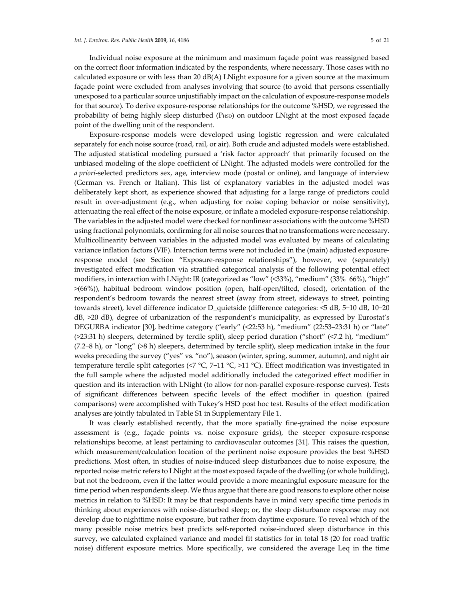Individual noise exposure at the minimum and maximum façade point was reassigned based on the correct floor information indicated by the respondents, where necessary. Those cases with no calculated exposure or with less than 20 dB(A) LNight exposure for a given source at the maximum façade point were excluded from analyses involving that source (to avoid that persons essentially unexposed to a particular source unjustifiably impact on the calculation of exposure-response models for that source). To derive exposure-response relationships for the outcome %HSD, we regressed the probability of being highly sleep disturbed (PHSD) on outdoor LNight at the most exposed façade point of the dwelling unit of the respondent.

Exposure-response models were developed using logistic regression and were calculated separately for each noise source (road, rail, or air). Both crude and adjusted models were established. The adjusted statistical modeling pursued a 'risk factor approach' that primarily focused on the unbiased modeling of the slope coefficient of LNight. The adjusted models were controlled for the *a priori*-selected predictors sex, age, interview mode (postal or online), and language of interview (German vs. French or Italian). This list of explanatory variables in the adjusted model was deliberately kept short, as experience showed that adjusting for a large range of predictors could result in over-adjustment (e.g., when adjusting for noise coping behavior or noise sensitivity), attenuating the real effect of the noise exposure, or inflate a modeled exposure-response relationship. The variables in the adjusted model were checked for nonlinear associations with the outcome %HSD using fractional polynomials, confirming for all noise sources that no transformations were necessary. Multicollinearity between variables in the adjusted model was evaluated by means of calculating variance inflation factors (VIF). Interaction terms were not included in the (main) adjusted exposureresponse model (see Section "Exposure-response relationships"), however, we (separately) investigated effect modification via stratified categorical analysis of the following potential effect modifiers, in interaction with LNight: IR (categorized as "low" (<33%), "medium" (33%−66%), "high" >(66%)), habitual bedroom window position (open, half-open/tilted, closed), orientation of the respondent's bedroom towards the nearest street (away from street, sideways to street, pointing towards street), level difference indicator D\_quietside (difference categories: <5 dB, 5−10 dB, 10−20 dB, >20 dB), degree of urbanization of the respondent's municipality, as expressed by Eurostat's DEGURBA indicator [30], bedtime category ("early" (<22:53 h), "medium" (22:53–23:31 h) or "late" (>23:31 h) sleepers, determined by tercile split), sleep period duration ("short" (<7.2 h), "medium" (7.2−8 h), or "long" (>8 h) sleepers, determined by tercile split), sleep medication intake in the four weeks preceding the survey ("yes" vs. "no"), season (winter, spring, summer, autumn), and night air temperature tercile split categories (<7 °C, 7−11 °C, >11 °C). Effect modification was investigated in the full sample where the adjusted model additionally included the categorized effect modifier in question and its interaction with LNight (to allow for non-parallel exposure-response curves). Tests of significant differences between specific levels of the effect modifier in question (paired comparisons) were accomplished with Tukey's HSD post hoc test. Results of the effect modification analyses are jointly tabulated in Table S1 in Supplementary File 1.

It was clearly established recently, that the more spatially fine-grained the noise exposure assessment is (e.g., façade points vs. noise exposure grids), the steeper exposure-response relationships become, at least pertaining to cardiovascular outcomes [31]. This raises the question, which measurement/calculation location of the pertinent noise exposure provides the best %HSD predictions. Most often, in studies of noise-induced sleep disturbances due to noise exposure, the reported noise metric refers to LNight at the most exposed façade of the dwelling (or whole building), but not the bedroom, even if the latter would provide a more meaningful exposure measure for the time period when respondents sleep. We thus argue that there are good reasons to explore other noise metrics in relation to %HSD: It may be that respondents have in mind very specific time periods in thinking about experiences with noise-disturbed sleep; or, the sleep disturbance response may not develop due to nighttime noise exposure, but rather from daytime exposure. To reveal which of the many possible noise metrics best predicts self-reported noise-induced sleep disturbance in this survey, we calculated explained variance and model fit statistics for in total 18 (20 for road traffic noise) different exposure metrics. More specifically, we considered the average Leq in the time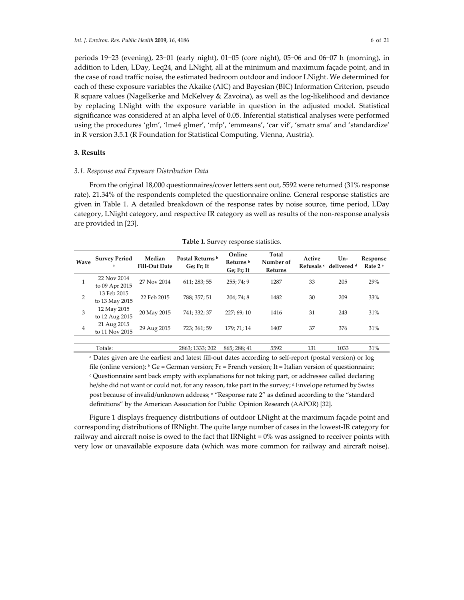periods 19−23 (evening), 23−01 (early night), 01−05 (core night), 05−06 and 06−07 h (morning), in addition to Lden, LDay, Leq24, and LNight, all at the minimum and maximum façade point, and in the case of road traffic noise, the estimated bedroom outdoor and indoor LNight. We determined for each of these exposure variables the Akaike (AIC) and Bayesian (BIC) Information Criterion, pseudo R square values (Nagelkerke and McKelvey & Zavoina), as well as the log-likelihood and deviance by replacing LNight with the exposure variable in question in the adjusted model. Statistical significance was considered at an alpha level of 0.05. Inferential statistical analyses were performed using the procedures 'glm', 'lme4 glmer', 'mfp', 'emmeans', 'car vif', 'smatr sma' and 'standardize' in R version 3.5.1 (R Foundation for Statistical Computing, Vienna, Austria).

# **3. Results**

# *3.1. Response and Exposure Distribution Data*

From the original 18,000 questionnaires/cover letters sent out, 5592 were returned (31% response rate). 21.34% of the respondents completed the questionnaire online. General response statistics are given in Table 1. A detailed breakdown of the response rates by noise source, time period, LDay category, LNight category, and respective IR category as well as results of the non-response analysis are provided in [23].

| Wave | <b>Survey Period</b><br>a     | Median<br>Fill-Out Date | Postal Returns <sup>b</sup><br>Ge; Fr; It | Online<br>Returns <sup>b</sup><br>Ge; Fr; It | Total<br>Number of<br>Returns | Active | $Un-$<br>Refusals c delivered d | Response<br>Rate 2 <sup>e</sup> |
|------|-------------------------------|-------------------------|-------------------------------------------|----------------------------------------------|-------------------------------|--------|---------------------------------|---------------------------------|
|      | 22 Nov 2014<br>to 09 Apr 2015 | 27 Nov 2014             | 611; 283; 55                              | 255; 74; 9                                   | 1287                          | 33     | 205                             | 29%                             |
| 2    | 13 Feb 2015<br>to 13 May 2015 | 22 Feb 2015             | 788: 357: 51                              | 204; 74; 8                                   | 1482                          | 30     | 209                             | 33%                             |
| 3    | 12 May 2015<br>to 12 Aug 2015 | 20 May 2015             | 741: 332: 37                              | 227; 69; 10                                  | 1416                          | 31     | 243                             | 31%                             |
| 4    | 21 Aug 2015<br>to 11 Nov 2015 | 29 Aug 2015             | 723; 361; 59                              | 179; 71; 14                                  | 1407                          | 37     | 376                             | 31%                             |
|      |                               |                         |                                           |                                              |                               |        |                                 |                                 |
|      | Totals:                       |                         | 2863; 1333; 202                           | 865; 288; 41                                 | 5592                          | 131    | 1033                            | 31%                             |

**Table 1.** Survey response statistics.

a Dates given are the earliest and latest fill-out dates according to self-report (postal version) or log file (online version);  $b$  Ge = German version; Fr = French version; It = Italian version of questionnaire; <sup>c</sup> Questionnaire sent back empty with explanations for not taking part, or addressee called declaring he/she did not want or could not, for any reason, take part in the survey; d Envelope returned by Swiss post because of invalid/unknown address; e "Response rate 2" as defined according to the "standard definitions" by the American Association for Public Opinion Research (AAPOR) [32].

Figure 1 displays frequency distributions of outdoor LNight at the maximum façade point and corresponding distributions of IRNight. The quite large number of cases in the lowest-IR category for railway and aircraft noise is owed to the fact that IRNight = 0% was assigned to receiver points with very low or unavailable exposure data (which was more common for railway and aircraft noise).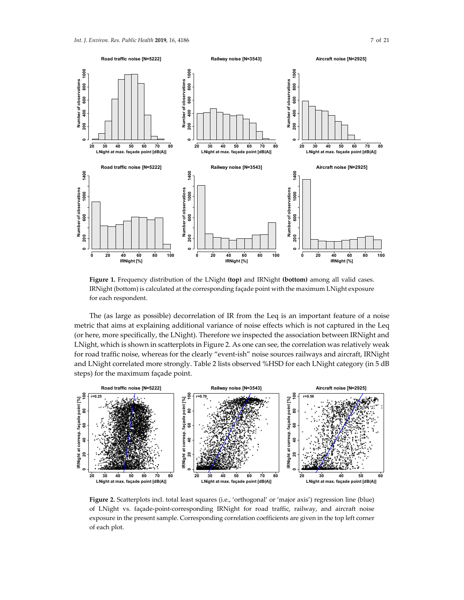

**Figure 1.** Frequency distribution of the LNight **(top)** and IRNight **(bottom)** among all valid cases. IRNight (bottom) is calculated at the corresponding façade point with the maximum LNight exposure for each respondent.

The (as large as possible) decorrelation of IR from the Leq is an important feature of a noise metric that aims at explaining additional variance of noise effects which is not captured in the Leq (or here, more specifically, the LNight). Therefore we inspected the association between IRNight and LNight, which is shown in scatterplots in Figure 2. As one can see, the correlation was relatively weak for road traffic noise, whereas for the clearly "event-ish" noise sources railways and aircraft, IRNight and LNight correlated more strongly. Table 2 lists observed %HSD for each LNight category (in 5 dB steps) for the maximum façade point.



Figure 2. Scatterplots incl. total least squares (i.e., 'orthogonal' or 'major axis') regression line (blue) of LNight vs. façade-point-corresponding IRNight for road traffic, railway, and aircraft noise exposure in the present sample. Corresponding correlation coefficients are given in the top left corner of each plot.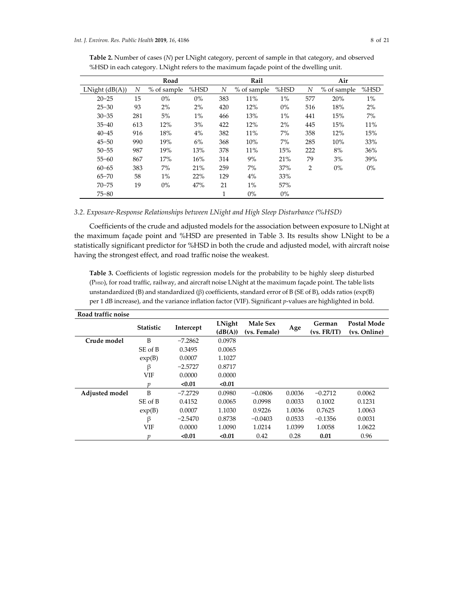| Table 2. Number of cases (N) per LNight category, percent of sample in that category, and observed |
|----------------------------------------------------------------------------------------------------|
| %HSD in each category. LNight refers to the maximum façade point of the dwelling unit.             |

| Road                  |     |             |       |     | Rail        |       |                | Air         |       |  |
|-----------------------|-----|-------------|-------|-----|-------------|-------|----------------|-------------|-------|--|
| LNight $(dB(A))$<br>N |     | % of sample | %HSD  | N   | % of sample | %HSD  | N              | % of sample | %HSD  |  |
| $20 - 25$             | 15  | 0%          | $0\%$ | 383 | 11%         | $1\%$ | 577            | 20%         | $1\%$ |  |
| $25 - 30$             | 93  | 2%          | 2%    | 420 | 12%         | $0\%$ | 516            | 18%         | 2%    |  |
| $30 - 35$             | 281 | 5%          | $1\%$ | 466 | 13%         | $1\%$ | 441            | 15%         | $7\%$ |  |
| $35 - 40$             | 613 | 12%         | 3%    | 422 | 12%         | 2%    | 445            | 15%         | 11%   |  |
| $40 - 45$             | 916 | 18%         | 4%    | 382 | 11%         | 7%    | 358            | 12%         | 15%   |  |
| $45 - 50$             | 990 | 19%         | 6%    | 368 | 10%         | 7%    | 285            | 10%         | 33%   |  |
| $50 - 55$             | 987 | 19%         | 13%   | 378 | 11%         | 15%   | 222            | 8%          | 36%   |  |
| $55 - 60$             | 867 | 17%         | 16%   | 314 | 9%          | 21%   | 79             | 3%          | 39%   |  |
| $60 - 65$             | 383 | 7%          | 21%   | 259 | 7%          | 37%   | $\overline{2}$ | $0\%$       | $0\%$ |  |
| $65 - 70$             | 58  | $1\%$       | 22%   | 129 | 4%          | 33%   |                |             |       |  |
| $70 - 75$             | 19  | $0\%$       | 47%   | 21  | $1\%$       | 57%   |                |             |       |  |
| $75 - 80$             |     |             |       | 1   | $0\%$       | $0\%$ |                |             |       |  |

# *3.2. Exposure-Response Relationships between LNight and High Sleep Disturbance (%HSD)*

Coefficients of the crude and adjusted models for the association between exposure to LNight at the maximum façade point and %HSD are presented in Table 3. Its results show LNight to be a statistically significant predictor for %HSD in both the crude and adjusted model, with aircraft noise having the strongest effect, and road traffic noise the weakest.

**Table 3.** Coefficients of logistic regression models for the probability to be highly sleep disturbed (PHSD), for road traffic, railway, and aircraft noise LNight at the maximum façade point. The table lists unstandardized (B) and standardized (β) coefficients, standard error of B (SE of B), odds ratios (exp(B) per 1 dB increase), and the variance inflation factor (VIF). Significant *p*-values are highlighted in bold.

| Road traffic noise |           |           |         |              |        |             |                    |
|--------------------|-----------|-----------|---------|--------------|--------|-------------|--------------------|
|                    | Statistic | Intercept | LNight  | Male Sex     | Age    | German      | <b>Postal Mode</b> |
|                    |           |           | (dB(A)) | (vs. Female) |        | (vs. FR/IT) | (vs. Online)       |
| Crude model        | B         | $-7.2862$ | 0.0978  |              |        |             |                    |
|                    | SE of B   | 0.3495    | 0.0065  |              |        |             |                    |
|                    | exp(B)    | 0.0007    | 1.1027  |              |        |             |                    |
|                    | β         | $-2.5727$ | 0.8717  |              |        |             |                    |
|                    | VIF       | 0.0000    | 0.0000  |              |        |             |                    |
|                    | n         | < 0.01    | < 0.01  |              |        |             |                    |
| Adjusted model     | B         | $-7.2729$ | 0.0980  | $-0.0806$    | 0.0036 | $-0.2712$   | 0.0062             |
|                    | SE of B   | 0.4152    | 0.0065  | 0.0998       | 0.0033 | 0.1002      | 0.1231             |
|                    | exp(B)    | 0.0007    | 1.1030  | 0.9226       | 1.0036 | 0.7625      | 1.0063             |
|                    | β         | $-2.5470$ | 0.8738  | $-0.0403$    | 0.0533 | $-0.1356$   | 0.0031             |
|                    | VIF       | 0.0000    | 1.0090  | 1.0214       | 1.0399 | 1.0058      | 1.0622             |
|                    | v         | < 0.01    | < 0.01  | 0.42         | 0.28   | 0.01        | 0.96               |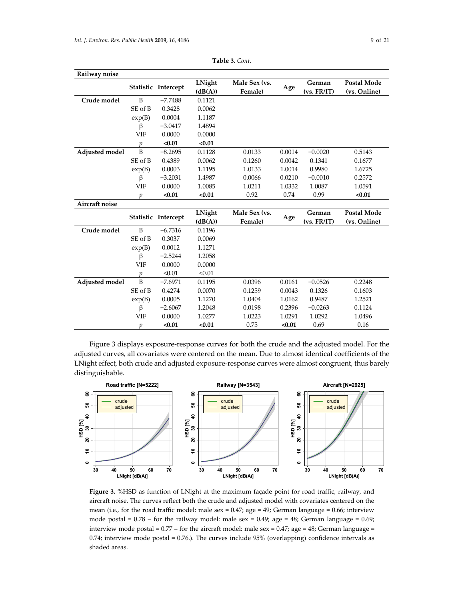| Railway noise  |               |                     |                   |                          |        |                       |                                    |
|----------------|---------------|---------------------|-------------------|--------------------------|--------|-----------------------|------------------------------------|
|                |               | Statistic Intercept | LNight<br>(dB(A)) | Male Sex (vs.<br>Female) | Age    | German<br>(vs. FR/IT) | <b>Postal Mode</b><br>(vs. Online) |
| Crude model    | B             | $-7.7488$           | 0.1121            |                          |        |                       |                                    |
|                | SE of B       | 0.3428              | 0.0062            |                          |        |                       |                                    |
|                | exp(B)        | 0.0004              | 1.1187            |                          |        |                       |                                    |
|                | β             | $-3.0417$           | 1.4894            |                          |        |                       |                                    |
|                | <b>VIF</b>    | 0.0000              | 0.0000            |                          |        |                       |                                    |
|                | p             | < 0.01              | < 0.01            |                          |        |                       |                                    |
| Adjusted model | B             | $-8.2695$           | 0.1128            | 0.0133                   | 0.0014 | $-0.0020$             | 0.5143                             |
|                | SE of B       | 0.4389              | 0.0062            | 0.1260                   | 0.0042 | 0.1341                | 0.1677                             |
|                | exp(B)        | 0.0003              | 1.1195            | 1.0133                   | 1.0014 | 0.9980                | 1.6725                             |
|                | β             | $-3.2031$           | 1.4987            | 0.0066                   | 0.0210 | $-0.0010$             | 0.2572                             |
|                | VIF           | 0.0000              | 1.0085            | 1.0211                   | 1.0332 | 1.0087                | 1.0591                             |
|                | $\mathfrak p$ | < 0.01              | < 0.01            | 0.92                     | 0.74   | 0.99                  | < 0.01                             |
| Aircraft noise |               |                     |                   |                          |        |                       |                                    |
|                |               |                     | LNight            | Male Sex (vs.            |        | German                | <b>Postal Mode</b>                 |
|                |               | Statistic Intercept | (dB(A))           | Female)                  | Age    | (vs. FR/IT)           | (vs. Online)                       |
| Crude model    | B             | $-6.7316$           | 0.1196            |                          |        |                       |                                    |
|                | SE of B       | 0.3037              | 0.0069            |                          |        |                       |                                    |
|                | exp(B)        | 0.0012              | 1.1271            |                          |        |                       |                                    |
|                | β             | $-2.5244$           | 1.2058            |                          |        |                       |                                    |
|                | <b>VIF</b>    | 0.0000              | 0.0000            |                          |        |                       |                                    |
|                | $\mathcal{V}$ | < 0.01              | < 0.01            |                          |        |                       |                                    |
| Adjusted model | B             | $-7.6971$           | 0.1195            | 0.0396                   | 0.0161 | $-0.0526$             | 0.2248                             |
|                | SE of B       | 0.4274              | 0.0070            | 0.1259                   | 0.0043 | 0.1326                | 0.1603                             |
|                | exp(B)        | 0.0005              | 1.1270            | 1.0404                   | 1.0162 | 0.9487                | 1.2521                             |
|                | β             | $-2.6067$           | 1.2048            | 0.0198                   | 0.2396 | $-0.0263$             | 0.1124                             |
|                | VIF           | 0.0000              | 1.0277            | 1.0223                   | 1.0291 | 1.0292                | 1.0496                             |
|                | р             | < 0.01              | < 0.01            | 0.75                     | < 0.01 | 0.69                  | 0.16                               |

**Table 3.** *Cont.* 

Figure 3 displays exposure-response curves for both the crude and the adjusted model. For the adjusted curves, all covariates were centered on the mean. Due to almost identical coefficients of the LNight effect, both crude and adjusted exposure-response curves were almost congruent, thus barely distinguishable.



**Figure 3.** %HSD as function of LNight at the maximum façade point for road traffic, railway, and aircraft noise. The curves reflect both the crude and adjusted model with covariates centered on the mean (i.e., for the road traffic model: male sex = 0.47; age = 49; German language = 0.66; interview mode postal =  $0.78$  – for the railway model: male sex =  $0.49$ ; age =  $48$ ; German language =  $0.69$ ; interview mode postal =  $0.77$  – for the aircraft model: male sex =  $0.47$ ; age =  $48$ ; German language = 0.74; interview mode postal = 0.76.). The curves include 95% (overlapping) confidence intervals as shaded areas.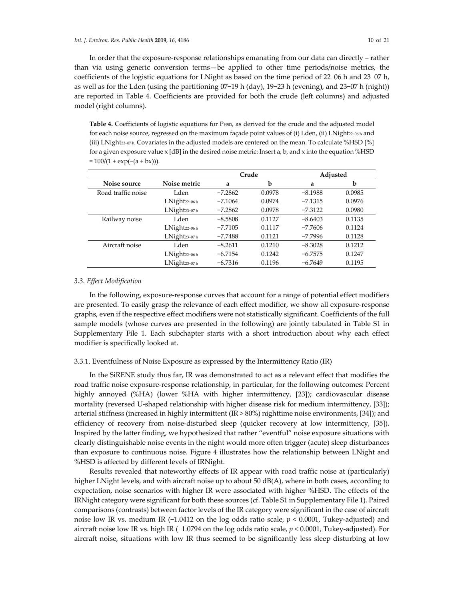In order that the exposure-response relationships emanating from our data can directly – rather than via using generic conversion terms—be applied to other time periods/noise metrics, the coefficients of the logistic equations for LNight as based on the time period of 22−06 h and 23−07 h, as well as for the Lden (using the partitioning 07−19 h (day), 19−23 h (evening), and 23−07 h (night)) are reported in Table 4. Coefficients are provided for both the crude (left columns) and adjusted model (right columns).

Table 4. Coefficients of logistic equations for P<sub>HSD</sub>, as derived for the crude and the adjusted model for each noise source, regressed on the maximum façade point values of (i) Lden, (ii) LNight22−06 h and (iii) LNight23−07 h. Covariates in the adjusted models are centered on the mean. To calculate %HSD [%] for a given exposure value x [dB] in the desired noise metric: Insert a, b, and x into the equation %HSD  $= 100/(1 + \exp(-(a + bx)))$ .

|                    |                             |           | Crude  | Adjusted  |        |  |
|--------------------|-----------------------------|-----------|--------|-----------|--------|--|
| Noise source       | Noise metric                |           | b      | a         | b      |  |
| Road traffic noise | Lden                        | $-7.2862$ | 0.0978 | $-8.1988$ | 0.0985 |  |
|                    | $LNight$ <sub>22-06</sub> h | $-7.1064$ | 0.0974 | $-7.1315$ | 0.0976 |  |
|                    | LNight23-07h                | $-7.2862$ | 0.0978 | $-7.3122$ | 0.0980 |  |
| Railway noise      | Lden                        | $-8.5808$ | 0.1127 | $-8.6403$ | 0.1135 |  |
|                    | $LNight$ <sub>22-06</sub> h | $-7.7105$ | 0.1117 | $-7.7606$ | 0.1124 |  |
|                    | LNight <sub>23-07h</sub>    | $-7.7488$ | 0.1121 | $-7.7996$ | 0.1128 |  |
| Aircraft noise     | Lden                        | $-8.2611$ | 0.1210 | $-8.3028$ | 0.1212 |  |
|                    | $LNight$ <sub>22-06</sub> h | $-6.7154$ | 0.1242 | $-6.7575$ | 0.1247 |  |
|                    | LNight23-07h                | $-6.7316$ | 0.1196 | $-6.7649$ | 0.1195 |  |

### *3.3. Effect Modification*

In the following, exposure-response curves that account for a range of potential effect modifiers are presented. To easily grasp the relevance of each effect modifier, we show all exposure-response graphs, even if the respective effect modifiers were not statistically significant. Coefficients of the full sample models (whose curves are presented in the following) are jointly tabulated in Table S1 in Supplementary File 1. Each subchapter starts with a short introduction about why each effect modifier is specifically looked at.

## 3.3.1. Eventfulness of Noise Exposure as expressed by the Intermittency Ratio (IR)

In the SiRENE study thus far, IR was demonstrated to act as a relevant effect that modifies the road traffic noise exposure-response relationship, in particular, for the following outcomes: Percent highly annoyed (%HA) (lower %HA with higher intermittency, [23]); cardiovascular disease mortality (reversed U-shaped relationship with higher disease risk for medium intermittency, [33]); arterial stiffness (increased in highly intermittent (IR > 80%) nighttime noise environments, [34]); and efficiency of recovery from noise-disturbed sleep (quicker recovery at low intermittency, [35]). Inspired by the latter finding, we hypothesized that rather "eventful" noise exposure situations with clearly distinguishable noise events in the night would more often trigger (acute) sleep disturbances than exposure to continuous noise. Figure 4 illustrates how the relationship between LNight and %HSD is affected by different levels of IRNight.

Results revealed that noteworthy effects of IR appear with road traffic noise at (particularly) higher LNight levels, and with aircraft noise up to about 50 dB(A), where in both cases, according to expectation, noise scenarios with higher IR were associated with higher %HSD. The effects of the IRNight category were significant for both these sources (cf. Table S1 in Supplementary File 1). Paired comparisons (contrasts) between factor levels of the IR category were significant in the case of aircraft noise low IR vs. medium IR (−1.0412 on the log odds ratio scale, *p* < 0.0001, Tukey-adjusted) and aircraft noise low IR vs. high IR (−1.0794 on the log odds ratio scale, *p* < 0.0001, Tukey-adjusted). For aircraft noise, situations with low IR thus seemed to be significantly less sleep disturbing at low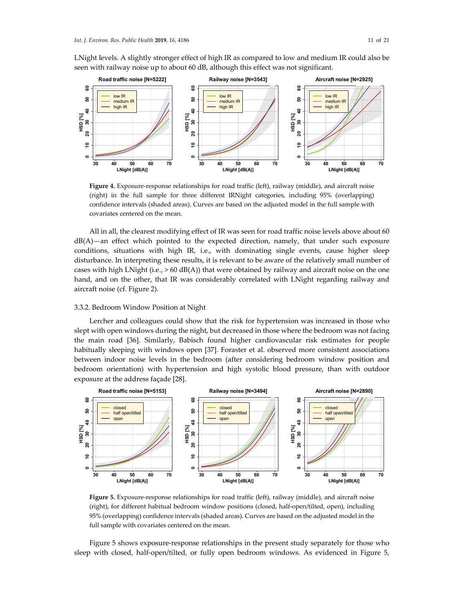**30 40 50 60 70**

**LNight [dB(A)]**

8

ຊ

 $\overline{a}$ 

 $\circ$ 

8

ន្ល

 $\ddot{a}$ 

**HSD [%]**



**30 40 50 60 70**

 $\circ$ 

**LNight [dB(A)]**

LNight levels. A slightly stronger effect of high IR as compared to low and medium IR could also be seen with railway noise up to about 60 dB, although this effect was not significant.

**Figure 4.** Exposure-response relationships for road traffic (left), railway (middle), and aircraft noise (right) in the full sample for three different IRNight categories, including 95% (overlapping) confidence intervals (shaded areas). Curves are based on the adjusted model in the full sample with covariates centered on the mean.

All in all, the clearest modifying effect of IR was seen for road traffic noise levels above about 60  $dB(A)$ —an effect which pointed to the expected direction, namely, that under such exposure conditions, situations with high IR, i.e., with dominating single events, cause higher sleep disturbance. In interpreting these results, it is relevant to be aware of the relatively small number of cases with high LNight (i.e.,  $> 60$  dB(A)) that were obtained by railway and aircraft noise on the one hand, and on the other, that IR was considerably correlated with LNight regarding railway and aircraft noise (cf. Figure 2).

## 3.3.2. Bedroom Window Position at Night

Lercher and colleagues could show that the risk for hypertension was increased in those who slept with open windows during the night, but decreased in those where the bedroom was not facing the main road [36]. Similarly, Babisch found higher cardiovascular risk estimates for people habitually sleeping with windows open [37]. Foraster et al. observed more consistent associations between indoor noise levels in the bedroom (after considering bedroom window position and bedroom orientation) with hypertension and high systolic blood pressure, than with outdoor exposure at the address façade [28].



**Figure 5.** Exposure-response relationships for road traffic (left), railway (middle), and aircraft noise (right), for different habitual bedroom window positions (closed, half-open/tilted, open), including 95% (overlapping) confidence intervals (shaded areas). Curves are based on the adjusted model in the full sample with covariates centered on the mean.

Figure 5 shows exposure-response relationships in the present study separately for those who sleep with closed, half-open/tilted, or fully open bedroom windows. As evidenced in Figure 5,

**30 40 50 60 70**

 $\bullet$ 

**LNight [dB(A)]**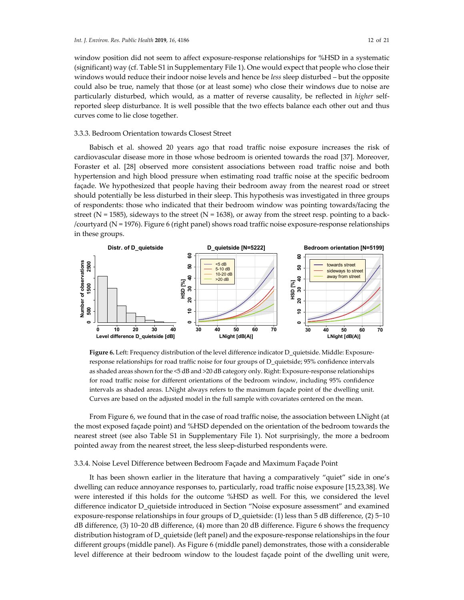window position did not seem to affect exposure-response relationships for %HSD in a systematic (significant) way (cf. Table S1 in Supplementary File 1). One would expect that people who close their windows would reduce their indoor noise levels and hence be *less* sleep disturbed – but the opposite could also be true, namely that those (or at least some) who close their windows due to noise are particularly disturbed, which would, as a matter of reverse causality, be reflected in *higher* selfreported sleep disturbance. It is well possible that the two effects balance each other out and thus curves come to lie close together.

#### 3.3.3. Bedroom Orientation towards Closest Street

Babisch et al. showed 20 years ago that road traffic noise exposure increases the risk of cardiovascular disease more in those whose bedroom is oriented towards the road [37]. Moreover, Foraster et al. [28] observed more consistent associations between road traffic noise and both hypertension and high blood pressure when estimating road traffic noise at the specific bedroom façade. We hypothesized that people having their bedroom away from the nearest road or street should potentially be less disturbed in their sleep. This hypothesis was investigated in three groups of respondents: those who indicated that their bedroom window was pointing towards/facing the street ( $N = 1585$ ), sideways to the street ( $N = 1638$ ), or away from the street resp. pointing to a back-/courtyard (N = 1976). Figure 6 (right panel) shows road traffic noise exposure-response relationships in these groups.



**Figure 6.** Left: Frequency distribution of the level difference indicator D\_quietside. Middle: Exposureresponse relationships for road traffic noise for four groups of D\_quietside; 95% confidence intervals as shaded areas shown for the <5 dB and >20 dB category only. Right: Exposure-response relationships for road traffic noise for different orientations of the bedroom window, including 95% confidence intervals as shaded areas. LNight always refers to the maximum façade point of the dwelling unit. Curves are based on the adjusted model in the full sample with covariates centered on the mean.

From Figure 6, we found that in the case of road traffic noise, the association between LNight (at the most exposed façade point) and %HSD depended on the orientation of the bedroom towards the nearest street (see also Table S1 in Supplementary File 1). Not surprisingly, the more a bedroom pointed away from the nearest street, the less sleep-disturbed respondents were.

#### 3.3.4. Noise Level Difference between Bedroom Façade and Maximum Façade Point

It has been shown earlier in the literature that having a comparatively "quiet" side in one's dwelling can reduce annoyance responses to, particularly, road traffic noise exposure [15,23,38]. We were interested if this holds for the outcome %HSD as well. For this, we considered the level difference indicator D\_quietside introduced in Section "Noise exposure assessment" and examined exposure-response relationships in four groups of D\_quietside: (1) less than 5 dB difference, (2) 5−10 dB difference, (3) 10−20 dB difference, (4) more than 20 dB difference. Figure 6 shows the frequency distribution histogram of D\_quietside (left panel) and the exposure-response relationships in the four different groups (middle panel). As Figure 6 (middle panel) demonstrates, those with a considerable level difference at their bedroom window to the loudest façade point of the dwelling unit were,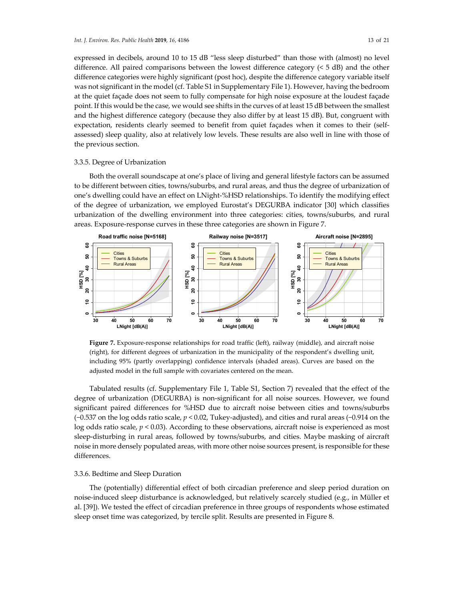expressed in decibels, around 10 to 15 dB "less sleep disturbed" than those with (almost) no level difference. All paired comparisons between the lowest difference category  $(5 d)$  and the other difference categories were highly significant (post hoc), despite the difference category variable itself was not significant in the model (cf. Table S1 in Supplementary File 1). However, having the bedroom at the quiet façade does not seem to fully compensate for high noise exposure at the loudest façade point. If this would be the case, we would see shifts in the curves of at least 15 dB between the smallest and the highest difference category (because they also differ by at least 15 dB). But, congruent with expectation, residents clearly seemed to benefit from quiet façades when it comes to their (selfassessed) sleep quality, also at relatively low levels. These results are also well in line with those of the previous section.

## 3.3.5. Degree of Urbanization

Both the overall soundscape at one's place of living and general lifestyle factors can be assumed to be different between cities, towns/suburbs, and rural areas, and thus the degree of urbanization of one's dwelling could have an effect on LNight-%HSD relationships. To identify the modifying effect of the degree of urbanization, we employed Eurostat's DEGURBA indicator [30] which classifies urbanization of the dwelling environment into three categories: cities, towns/suburbs, and rural areas. Exposure-response curves in these three categories are shown in Figure 7.



**Figure 7.** Exposure-response relationships for road traffic (left), railway (middle), and aircraft noise (right), for different degrees of urbanization in the municipality of the respondent's dwelling unit, including 95% (partly overlapping) confidence intervals (shaded areas). Curves are based on the adjusted model in the full sample with covariates centered on the mean.

Tabulated results (cf. Supplementary File 1, Table S1, Section 7) revealed that the effect of the degree of urbanization (DEGURBA) is non-significant for all noise sources. However, we found significant paired differences for %HSD due to aircraft noise between cities and towns/suburbs (−0.537 on the log odds ratio scale, *p* < 0.02, Tukey-adjusted), and cities and rural areas (−0.914 on the log odds ratio scale, *p* < 0.03). According to these observations, aircraft noise is experienced as most sleep-disturbing in rural areas, followed by towns/suburbs, and cities. Maybe masking of aircraft noise in more densely populated areas, with more other noise sources present, is responsible for these differences.

## 3.3.6. Bedtime and Sleep Duration

The (potentially) differential effect of both circadian preference and sleep period duration on noise-induced sleep disturbance is acknowledged, but relatively scarcely studied (e.g., in Müller et al. [39]). We tested the effect of circadian preference in three groups of respondents whose estimated sleep onset time was categorized, by tercile split. Results are presented in Figure 8.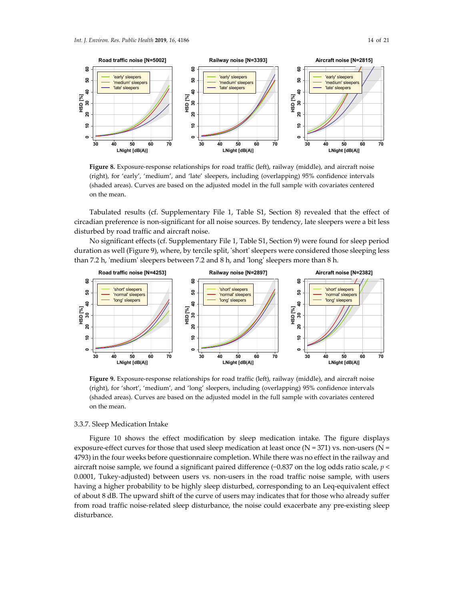

**Figure 8.** Exposure-response relationships for road traffic (left), railway (middle), and aircraft noise (right), for 'early', 'medium', and 'late' sleepers, including (overlapping) 95% confidence intervals (shaded areas). Curves are based on the adjusted model in the full sample with covariates centered on the mean.

Tabulated results (cf. Supplementary File 1, Table S1, Section 8) revealed that the effect of circadian preference is non-significant for all noise sources. By tendency, late sleepers were a bit less disturbed by road traffic and aircraft noise.

No significant effects (cf. Supplementary File 1, Table S1, Section 9) were found for sleep period duration as well (Figure 9), where, by tercile split, 'short' sleepers were considered those sleeping less than 7.2 h, 'medium' sleepers between 7.2 and 8 h, and 'long' sleepers more than 8 h.



**Figure 9.** Exposure-response relationships for road traffic (left), railway (middle), and aircraft noise (right), for 'short', 'medium', and 'long' sleepers, including (overlapping) 95% confidence intervals (shaded areas). Curves are based on the adjusted model in the full sample with covariates centered on the mean.

# 3.3.7. Sleep Medication Intake

Figure 10 shows the effect modification by sleep medication intake. The figure displays exposure-effect curves for those that used sleep medication at least once  $(N = 371)$  vs. non-users  $(N = 371)$ 4793) in the four weeks before questionnaire completion. While there was no effect in the railway and aircraft noise sample, we found a significant paired difference (−0.837 on the log odds ratio scale, *p* < 0.0001, Tukey-adjusted) between users vs. non-users in the road traffic noise sample, with users having a higher probability to be highly sleep disturbed, corresponding to an Leq-equivalent effect of about 8 dB. The upward shift of the curve of users may indicates that for those who already suffer from road traffic noise-related sleep disturbance, the noise could exacerbate any pre-existing sleep disturbance.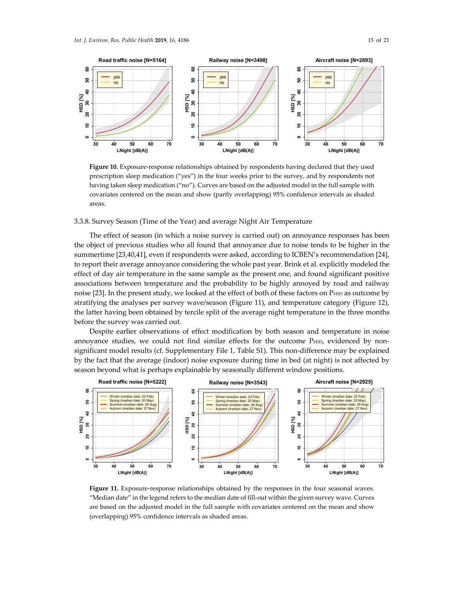



Figure 10. Exposure-response relationships obtained by respondents having declared that they used prescription sleep medication ("yes") in the four weeks prior to the survey, and by respondents not having taken sleep medication ("no"). Curves are based on the adjusted model in the full sample with covariates centered on the mean and show (partly overlapping) 95% confidence intervals as shaded areas.

3.3.8. Survey Season (Time of the Year) and average Night Air Temperature

The effect of season (in which a noise survey is carried out) on annoyance responses has been the object of previous studies who all found that annoyance due to noise tends to be higher in the summertime [23,40,41], even if respondents were asked, according to ICBEN's recommendation [24], to report their average annoyance considering the whole past year. Brink et al. explicitly modeled the effect of day air temperature in the same sample as the present one, and found significant positive associations between temperature and the probability to be highly annoyed by road and railway noise  $[23]$ . In the present study, we looked at the effect of both of these factors on P $HSD$  as outcome by stratifying the analyses per survey wave/season (Figure 11), and temperature category (Figure 12), the latter having been obtained by tercile split of the average night temperature in the three months before the survey was carried out.

Despite earlier observations of effect modification by both season and temperature in noise annoyance studies, we could not find similar effects for the outcome PHSD, evidenced by nonsignificant model results (cf. Supplementary File 1, Table S1). This non-difference may be explained by the fact that the average (indoor) noise exposure during time in bed (at night) is not affected by season beyond what is perhaps explainable by seasonally different window positions.



**Figure 11.** Exposure-response relationships obtained by the responses in the four seasonal waves. "Median date" in the legend refers to the median date of fill-out within the given survey wave. Curves are based on the adjusted model in the full sample with covariates centered on the mean and show (overlapping) 95% confidence intervals as shaded areas.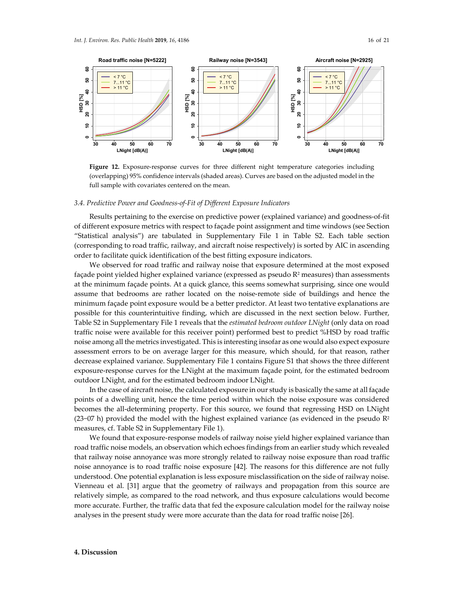

**Figure 12.** Exposure-response curves for three different night temperature categories including (overlapping) 95% confidence intervals (shaded areas). Curves are based on the adjusted model in the full sample with covariates centered on the mean.

#### *3.4. Predictive Power and Goodness-of-Fit of Different Exposure Indicators*

Results pertaining to the exercise on predictive power (explained variance) and goodness-of-fit of different exposure metrics with respect to façade point assignment and time windows (see Section "Statistical analysis") are tabulated in Supplementary File 1 in Table S2. Each table section (corresponding to road traffic, railway, and aircraft noise respectively) is sorted by AIC in ascending order to facilitate quick identification of the best fitting exposure indicators.

We observed for road traffic and railway noise that exposure determined at the most exposed façade point yielded higher explained variance (expressed as pseudo  $R<sup>2</sup>$  measures) than assessments at the minimum façade points. At a quick glance, this seems somewhat surprising, since one would assume that bedrooms are rather located on the noise-remote side of buildings and hence the minimum façade point exposure would be a better predictor. At least two tentative explanations are possible for this counterintuitive finding, which are discussed in the next section below. Further, Table S2 in Supplementary File 1 reveals that the *estimated bedroom outdoor LNight* (only data on road traffic noise were available for this receiver point) performed best to predict %HSD by road traffic noise among all the metrics investigated. This is interesting insofar as one would also expect exposure assessment errors to be on average larger for this measure, which should, for that reason, rather decrease explained variance. Supplementary File 1 contains Figure S1 that shows the three different exposure-response curves for the LNight at the maximum façade point, for the estimated bedroom outdoor LNight, and for the estimated bedroom indoor LNight.

In the case of aircraft noise, the calculated exposure in our study is basically the same at all façade points of a dwelling unit, hence the time period within which the noise exposure was considered becomes the all-determining property. For this source, we found that regressing HSD on LNight (23–07 h) provided the model with the highest explained variance (as evidenced in the pseudo  $\mathbb{R}^2$ measures, cf. Table S2 in Supplementary File 1).

We found that exposure-response models of railway noise yield higher explained variance than road traffic noise models, an observation which echoes findings from an earlier study which revealed that railway noise annoyance was more strongly related to railway noise exposure than road traffic noise annoyance is to road traffic noise exposure [42]. The reasons for this difference are not fully understood. One potential explanation is less exposure misclassification on the side of railway noise. Vienneau et al. [31] argue that the geometry of railways and propagation from this source are relatively simple, as compared to the road network, and thus exposure calculations would become more accurate. Further, the traffic data that fed the exposure calculation model for the railway noise analyses in the present study were more accurate than the data for road traffic noise [26].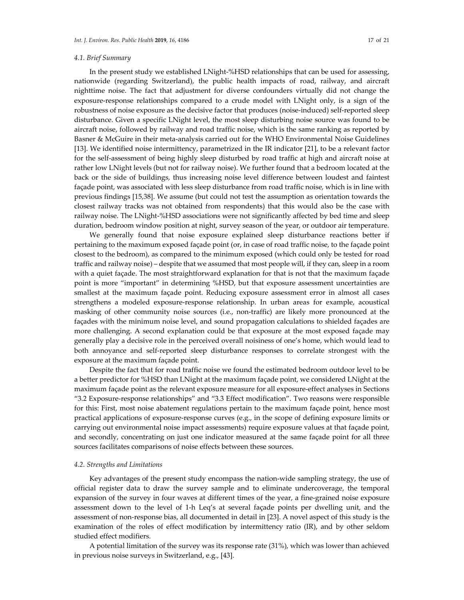# *4.1. Brief Summary*

In the present study we established LNight-%HSD relationships that can be used for assessing, nationwide (regarding Switzerland), the public health impacts of road, railway, and aircraft nighttime noise. The fact that adjustment for diverse confounders virtually did not change the exposure-response relationships compared to a crude model with LNight only, is a sign of the robustness of noise exposure as the decisive factor that produces (noise-induced) self-reported sleep disturbance. Given a specific LNight level, the most sleep disturbing noise source was found to be aircraft noise, followed by railway and road traffic noise, which is the same ranking as reported by Basner & McGuire in their meta-analysis carried out for the WHO Environmental Noise Guidelines [13]. We identified noise intermittency, parametrized in the IR indicator [21], to be a relevant factor for the self-assessment of being highly sleep disturbed by road traffic at high and aircraft noise at rather low LNight levels (but not for railway noise). We further found that a bedroom located at the back or the side of buildings, thus increasing noise level difference between loudest and faintest façade point, was associated with less sleep disturbance from road traffic noise, which is in line with previous findings [15,38]. We assume (but could not test the assumption as orientation towards the closest railway tracks was not obtained from respondents) that this would also be the case with railway noise. The LNight-%HSD associations were not significantly affected by bed time and sleep duration, bedroom window position at night, survey season of the year, or outdoor air temperature.

We generally found that noise exposure explained sleep disturbance reactions better if pertaining to the maximum exposed façade point (or, in case of road traffic noise, to the façade point closest to the bedroom), as compared to the minimum exposed (which could only be tested for road traffic and railway noise) – despite that we assumed that most people will, if they can, sleep in a room with a quiet façade. The most straightforward explanation for that is not that the maximum façade point is more "important" in determining %HSD, but that exposure assessment uncertainties are smallest at the maximum façade point. Reducing exposure assessment error in almost all cases strengthens a modeled exposure-response relationship. In urban areas for example, acoustical masking of other community noise sources (i.e., non-traffic) are likely more pronounced at the façades with the minimum noise level, and sound propagation calculations to shielded façades are more challenging. A second explanation could be that exposure at the most exposed façade may generally play a decisive role in the perceived overall noisiness of one's home, which would lead to both annoyance and self-reported sleep disturbance responses to correlate strongest with the exposure at the maximum façade point.

Despite the fact that for road traffic noise we found the estimated bedroom outdoor level to be a better predictor for %HSD than LNight at the maximum façade point, we considered LNight at the maximum façade point as the relevant exposure measure for all exposure-effect analyses in Sections "3.2 Exposure-response relationships" and "3.3 Effect modification". Two reasons were responsible for this: First, most noise abatement regulations pertain to the maximum façade point, hence most practical applications of exposure-response curves (e.g., in the scope of defining exposure limits or carrying out environmental noise impact assessments) require exposure values at that façade point, and secondly, concentrating on just one indicator measured at the same façade point for all three sources facilitates comparisons of noise effects between these sources.

### *4.2. Strengths and Limitations*

Key advantages of the present study encompass the nation-wide sampling strategy, the use of official register data to draw the survey sample and to eliminate undercoverage, the temporal expansion of the survey in four waves at different times of the year, a fine-grained noise exposure assessment down to the level of 1-h Leq's at several façade points per dwelling unit, and the assessment of non-response bias, all documented in detail in [23]. A novel aspect of this study is the examination of the roles of effect modification by intermittency ratio (IR), and by other seldom studied effect modifiers.

A potential limitation of the survey was its response rate (31%), which was lower than achieved in previous noise surveys in Switzerland, e.g., [43].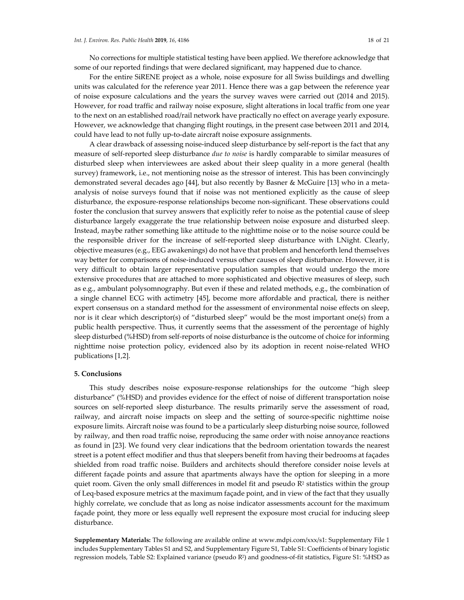No corrections for multiple statistical testing have been applied. We therefore acknowledge that some of our reported findings that were declared significant, may happened due to chance.

For the entire SiRENE project as a whole, noise exposure for all Swiss buildings and dwelling units was calculated for the reference year 2011. Hence there was a gap between the reference year of noise exposure calculations and the years the survey waves were carried out (2014 and 2015). However, for road traffic and railway noise exposure, slight alterations in local traffic from one year to the next on an established road/rail network have practically no effect on average yearly exposure. However, we acknowledge that changing flight routings, in the present case between 2011 and 2014, could have lead to not fully up-to-date aircraft noise exposure assignments.

A clear drawback of assessing noise-induced sleep disturbance by self-report is the fact that any measure of self-reported sleep disturbance *due to noise* is hardly comparable to similar measures of disturbed sleep when interviewees are asked about their sleep quality in a more general (health survey) framework, i.e., not mentioning noise as the stressor of interest. This has been convincingly demonstrated several decades ago [44], but also recently by Basner & McGuire [13] who in a metaanalysis of noise surveys found that if noise was not mentioned explicitly as the cause of sleep disturbance, the exposure-response relationships become non-significant. These observations could foster the conclusion that survey answers that explicitly refer to noise as the potential cause of sleep disturbance largely exaggerate the true relationship between noise exposure and disturbed sleep. Instead, maybe rather something like attitude to the nighttime noise or to the noise source could be the responsible driver for the increase of self-reported sleep disturbance with LNight. Clearly, objective measures (e.g., EEG awakenings) do not have that problem and henceforth lend themselves way better for comparisons of noise-induced versus other causes of sleep disturbance. However, it is very difficult to obtain larger representative population samples that would undergo the more extensive procedures that are attached to more sophisticated and objective measures of sleep, such as e.g., ambulant polysomnography. But even if these and related methods, e.g., the combination of a single channel ECG with actimetry [45], become more affordable and practical, there is neither expert consensus on a standard method for the assessment of environmental noise effects on sleep, nor is it clear which descriptor(s) of "disturbed sleep" would be the most important one(s) from a public health perspective. Thus, it currently seems that the assessment of the percentage of highly sleep disturbed (%HSD) from self-reports of noise disturbance is the outcome of choice for informing nighttime noise protection policy, evidenced also by its adoption in recent noise-related WHO publications [1,2].

## **5. Conclusions**

This study describes noise exposure-response relationships for the outcome "high sleep disturbance" (%HSD) and provides evidence for the effect of noise of different transportation noise sources on self-reported sleep disturbance. The results primarily serve the assessment of road, railway, and aircraft noise impacts on sleep and the setting of source-specific nighttime noise exposure limits. Aircraft noise was found to be a particularly sleep disturbing noise source, followed by railway, and then road traffic noise, reproducing the same order with noise annoyance reactions as found in [23]. We found very clear indications that the bedroom orientation towards the nearest street is a potent effect modifier and thus that sleepers benefit from having their bedrooms at façades shielded from road traffic noise. Builders and architects should therefore consider noise levels at different façade points and assure that apartments always have the option for sleeping in a more quiet room. Given the only small differences in model fit and pseudo  $R<sup>2</sup>$  statistics within the group of Leq-based exposure metrics at the maximum façade point, and in view of the fact that they usually highly correlate, we conclude that as long as noise indicator assessments account for the maximum façade point, they more or less equally well represent the exposure most crucial for inducing sleep disturbance.

**Supplementary Materials:** The following are available online at www.mdpi.com/xxx/s1: Supplementary File 1 includes Supplementary Tables S1 and S2, and Supplementary Figure S1, Table S1: Coefficients of binary logistic regression models, Table S2: Explained variance (pseudo R2) and goodness-of-fit statistics, Figure S1: %HSD as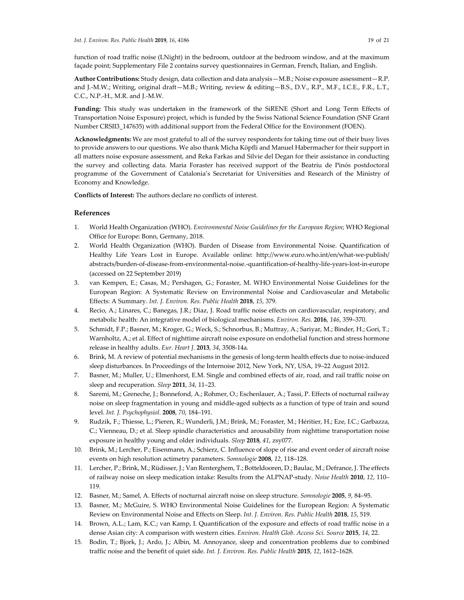function of road traffic noise (LNight) in the bedroom, outdoor at the bedroom window, and at the maximum façade point; Supplementary File 2 contains survey questionnaires in German, French, Italian, and English.

**Author Contributions:** Study design, data collection and data analysis—M.B.; Noise exposure assessment—R.P. and J.-M.W.; Writing, original draft—M.B.; Writing, review & editing—B.S., D.V., R.P., M.F., I.C.E., F.R., L.T., C.C., N.P.-H., M.R. and J.-M.W.

**Funding:** This study was undertaken in the framework of the SiRENE (Short and Long Term Effects of Transportation Noise Exposure) project, which is funded by the Swiss National Science Foundation (SNF Grant Number CRSII3\_147635) with additional support from the Federal Office for the Environment (FOEN).

**Acknowledgments:** We are most grateful to all of the survey respondents for taking time out of their busy lives to provide answers to our questions. We also thank Micha Köpfli and Manuel Habermacher for their support in all matters noise exposure assessment, and Reka Farkas and Silvie del Degan for their assistance in conducting the survey and collecting data. Maria Foraster has received support of the Beatriu de Pinós postdoctoral programme of the Government of Catalonia's Secretariat for Universities and Research of the Ministry of Economy and Knowledge.

**Conflicts of Interest:** The authors declare no conflicts of interest.

# **References**

- 1. World Health Organization (WHO). *Environmental Noise Guidelines for the European Region*; WHO Regional Office for Europe: Bonn, Germany, 2018.
- 2. World Health Organization (WHO). Burden of Disease from Environmental Noise. Quantification of Healthy Life Years Lost in Europe. Available online: http://www.euro.who.int/en/what-we-publish/ abstracts/burden-of-disease-from-environmental-noise.-quantification-of-healthy-life-years-lost-in-europe (accessed on 22 September 2019)
- 3. van Kempen, E.; Casas, M.; Pershagen, G.; Foraster, M. WHO Environmental Noise Guidelines for the European Region: A Systematic Review on Environmental Noise and Cardiovascular and Metabolic Effects: A Summary. *Int. J. Environ. Res. Public Health* **2018**, *15*, 379.
- 4. Recio, A.; Linares, C.; Banegas, J.R.; Diaz, J. Road traffic noise effects on cardiovascular, respiratory, and metabolic health: An integrative model of biological mechanisms. *Environ. Res.* **2016**, *146*, 359–370.
- 5. Schmidt, F.P.; Basner, M.; Kroger, G.; Weck, S.; Schnorbus, B.; Muttray, A.; Sariyar, M.; Binder, H.; Gori, T.; Warnholtz, A.; et al. Effect of nighttime aircraft noise exposure on endothelial function and stress hormone release in healthy adults. *Eur. Heart J.* **2013**, *34*, 3508-14a.
- 6. Brink, M. A review of potential mechanisms in the genesis of long-term health effects due to noise-induced sleep disturbances. In Proceedings of the Internoise 2012, New York, NY, USA, 19–22 August 2012.
- 7. Basner, M.; Muller, U.; Elmenhorst, E.M. Single and combined effects of air, road, and rail traffic noise on sleep and recuperation. *Sleep* **2011**, *34*, 11–23.
- 8. Saremi, M.; Greneche, J.; Bonnefond, A.; Rohmer, O.; Eschenlauer, A.; Tassi, P. Effects of nocturnal railway noise on sleep fragmentation in young and middle-aged subjects as a function of type of train and sound level. *Int. J. Psychophysiol.* **2008**, *70*, 184–191.
- 9. Rudzik, F.; Thiesse, L.; Pieren, R.; Wunderli, J.M.; Brink, M.; Foraster, M.; Héritier, H.; Eze, I.C.; Garbazza, C.; Vienneau, D.; et al. Sleep spindle characteristics and arousability from nighttime transportation noise exposure in healthy young and older individuals. *Sleep* **2018**, *41*, zsy077.
- 10. Brink, M.; Lercher, P.; Eisenmann, A.; Schierz, C. Influence of slope of rise and event order of aircraft noise events on high resolution actimetry parameters. *Somnologie* **2008**, *12*, 118–128.
- 11. Lercher, P.; Brink, M.; Rüdisser, J.; Van Renterghem, T.; Botteldooren, D.; Baulac, M.; Defrance, J. The effects of railway noise on sleep medication intake: Results from the ALPNAP-study. *Noise Health* **2010**, *12*, 110– 119.
- 12. Basner, M.; Samel, A. Effects of nocturnal aircraft noise on sleep structure. *Somnologie* **2005**, *9*, 84–95.
- 13. Basner, M.; McGuire, S. WHO Environmental Noise Guidelines for the European Region: A Systematic Review on Environmental Noise and Effects on Sleep. *Int. J. Environ. Res. Public Health* **2018**, *15*, 519.
- 14. Brown, A.L.; Lam, K.C.; van Kamp, I. Quantification of the exposure and effects of road traffic noise in a dense Asian city: A comparison with western cities. *Environ. Health Glob. Access Sci. Source* **2015**, *14*, 22.
- 15. Bodin, T.; Bjork, J.; Ardo, J.; Albin, M. Annoyance, sleep and concentration problems due to combined traffic noise and the benefit of quiet side. *Int. J. Environ. Res. Public Health* **2015**, *12*, 1612–1628.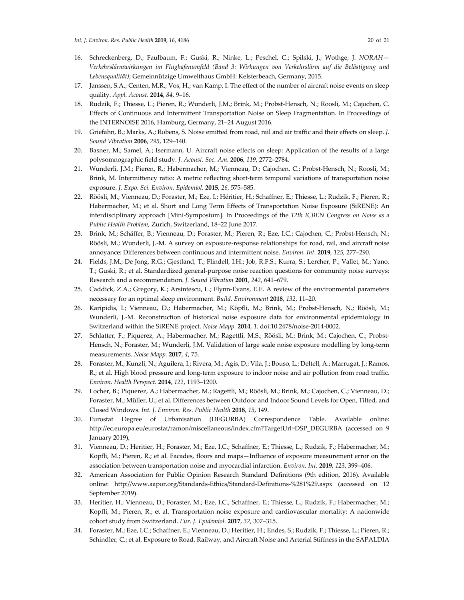- 16. Schreckenberg, D.; Faulbaum, F.; Guski, R.; Ninke, L.; Peschel, C.; Spilski, J.; Wothge, J. *NORAH— Verkehrslärmwirkungen im Flughafenumfeld (Band 3: Wirkungen von Verkehrslärm auf die Belästigung und Lebensqualität)*; Gemeinnützige Umwelthaus GmbH: Kelsterbeach, Germany, 2015.
- 17. Janssen, S.A.; Centen, M.R.; Vos, H.; van Kamp, I. The effect of the number of aircraft noise events on sleep quality. *Appl. Acoust.* **2014**, *84*, 9–16.
- 18. Rudzik, F.; Thiesse, L.; Pieren, R.; Wunderli, J.M.; Brink, M.; Probst-Hensch, N.; Roosli, M.; Cajochen, C. Effects of Continuous and Intermittent Transportation Noise on Sleep Fragmentation. In Proceedings of the INTERNOISE 2016, Hamburg, Germany, 21–24 August 2016.
- 19. Griefahn, B.; Marks, A.; Robens, S. Noise emitted from road, rail and air traffic and their effects on sleep. *J. Sound Vibration* **2006**, *295*, 129–140.
- 20. Basner, M.; Samel, A.; Isermann, U. Aircraft noise effects on sleep: Application of the results of a large polysomnographic field study. *J. Acoust. Soc. Am.* **2006**, *119*, 2772–2784.
- 21. Wunderli, J.M.; Pieren, R.; Habermacher, M.; Vienneau, D.; Cajochen, C.; Probst-Hensch, N.; Roosli, M.; Brink, M. Intermittency ratio: A metric reflecting short-term temporal variations of transportation noise exposure. *J. Expo. Sci. Environ. Epidemiol.* **2015**, *26*, 575–585.
- 22. Röösli, M.; Vienneau, D.; Foraster, M.; Eze, I.; Héritier, H.; Schaffner, E.; Thiesse, L.; Rudzik, F.; Pieren, R.; Habermacher, M.; et al. Short and Long Term Effects of Transportation Noise Exposure (SiRENE): An interdisciplinary approach [Mini-Symposium]. In Proceedings of the *12th ICBEN Congress on Noise as a Public Health Problem*, Zurich, Switzerland, 18–22 June 2017.
- 23. Brink, M.; Schäffer, B.; Vienneau, D.; Foraster, M.; Pieren, R.; Eze, I.C.; Cajochen, C.; Probst-Hensch, N.; Röösli, M.; Wunderli, J.-M. A survey on exposure-response relationships for road, rail, and aircraft noise annoyance: Differences between continuous and intermittent noise. *Environ. Int.* **2019**, *125*, 277–290.
- 24. Fields, J.M.; De Jong, R.G.; Gjestland, T.; Flindell, I.H.; Job, R.F.S.; Kurra, S.; Lercher, P.; Vallet, M.; Yano, T.; Guski, R.; et al. Standardized general-purpose noise reaction questions for community noise surveys: Research and a recommendation. *J. Sound Vibration* **2001**, *242*, 641–679.
- 25. Caddick, Z.A.; Gregory, K.; Arsintescu, L.; Flynn-Evans, E.E. A review of the environmental parameters necessary for an optimal sleep environment. *Build. Environment* **2018**, *132*, 11–20.
- 26. Karipidis, I.; Vienneau, D.; Habermacher, M.; Köpfli, M.; Brink, M.; Probst-Hensch, N.; Röösli, M.; Wunderli, J.-M. Reconstruction of historical noise exposure data for environmental epidemiology in Switzerland within the SiRENE project. *Noise Mapp.* **2014**, *1*. doi:10.2478/noise-2014-0002.
- 27. Schlatter, F.; Piquerez, A.; Habermacher, M.; Ragettli, M.S.; Röösli, M.; Brink, M.; Cajochen, C.; Probst-Hensch, N.; Foraster, M.; Wunderli, J.M. Validation of large scale noise exposure modelling by long-term measurements. *Noise Mapp.* **2017**, *4*, 75.
- 28. Foraster, M.; Kunzli, N.; Aguilera, I.; Rivera, M.; Agis, D.; Vila, J.; Bouso, L.; Deltell, A.; Marrugat, J.; Ramos, R.; et al. High blood pressure and long-term exposure to indoor noise and air pollution from road traffic. *Environ. Health Perspect.* **2014**, *122*, 1193–1200.
- 29. Locher, B.; Piquerez, A.; Habermacher, M.; Ragettli, M.; Röösli, M.; Brink, M.; Cajochen, C.; Vienneau, D.; Foraster, M.; Müller, U.; et al. Differences between Outdoor and Indoor Sound Levels for Open, Tilted, and Closed Windows. *Int. J. Environ. Res. Public Health* **2018**, *15*, 149.
- 30. Eurostat Degree of Urbanisation (DEGURBA) Correspondence Table. Available online: http://ec.europa.eu/eurostat/ramon/miscellaneous/index.cfm?TargetUrl=DSP\_DEGURBA (accessed on 9 January 2019),
- 31. Vienneau, D.; Heritier, H.; Foraster, M.; Eze, I.C.; Schaffner, E.; Thiesse, L.; Rudzik, F.; Habermacher, M.; Kopfli, M.; Pieren, R.; et al. Facades, floors and maps—Influence of exposure measurement error on the association between transportation noise and myocardial infarction. *Environ. Int.* **2019**, *123*, 399–406.
- 32. American Association for Public Opinion Research Standard Definitions (9th edition, 2016). Available online: http://www.aapor.org/Standards-Ethics/Standard-Definitions-%281%29.aspx (accessed on 12 September 2019).
- 33. Heritier, H.; Vienneau, D.; Foraster, M.; Eze, I.C.; Schaffner, E.; Thiesse, L.; Rudzik, F.; Habermacher, M.; Kopfli, M.; Pieren, R.; et al. Transportation noise exposure and cardiovascular mortality: A nationwide cohort study from Switzerland. *Eur. J. Epidemiol.* **2017**, *32*, 307–315.
- 34. Foraster, M.; Eze, I.C.; Schaffner, E.; Vienneau, D.; Heritier, H.; Endes, S.; Rudzik, F.; Thiesse, L.; Pieren, R.; Schindler, C.; et al. Exposure to Road, Railway, and Aircraft Noise and Arterial Stiffness in the SAPALDIA